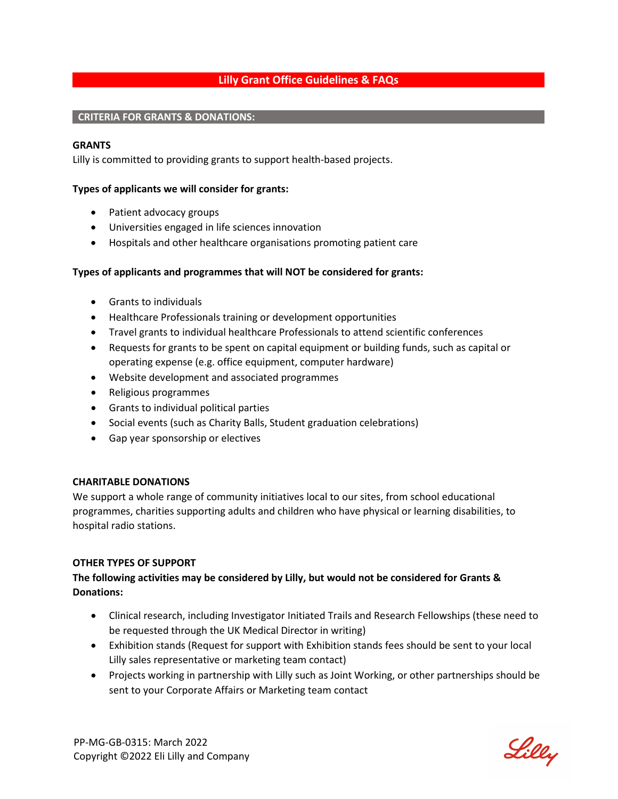# **Lilly Grant Office Guidelines & FAQs**

#### **CRITERIA FOR GRANTS & DONATIONS:**

#### **GRANTS**

Lilly is committed to providing grants to support health-based projects.

#### **Types of applicants we will consider for grants:**

- Patient advocacy groups
- Universities engaged in life sciences innovation
- Hospitals and other healthcare organisations promoting patient care

### **Types of applicants and programmes that will NOT be considered for grants:**

- Grants to individuals
- Healthcare Professionals training or development opportunities
- Travel grants to individual healthcare Professionals to attend scientific conferences
- Requests for grants to be spent on capital equipment or building funds, such as capital or operating expense (e.g. office equipment, computer hardware)
- Website development and associated programmes
- Religious programmes
- Grants to individual political parties
- Social events (such as Charity Balls, Student graduation celebrations)
- Gap year sponsorship or electives

#### **CHARITABLE DONATIONS**

We support a whole range of community initiatives local to our sites, from school educational programmes, charities supporting adults and children who have physical or learning disabilities, to hospital radio stations.

#### **OTHER TYPES OF SUPPORT**

# **The following activities may be considered by Lilly, but would not be considered for Grants & Donations:**

- Clinical research, including Investigator Initiated Trails and Research Fellowships (these need to be requested through the UK Medical Director in writing)
- Exhibition stands (Request for support with Exhibition stands fees should be sent to your local Lilly sales representative or marketing team contact)
- Projects working in partnership with Lilly such as Joint Working, or other partnerships should be sent to your Corporate Affairs or Marketing team contact

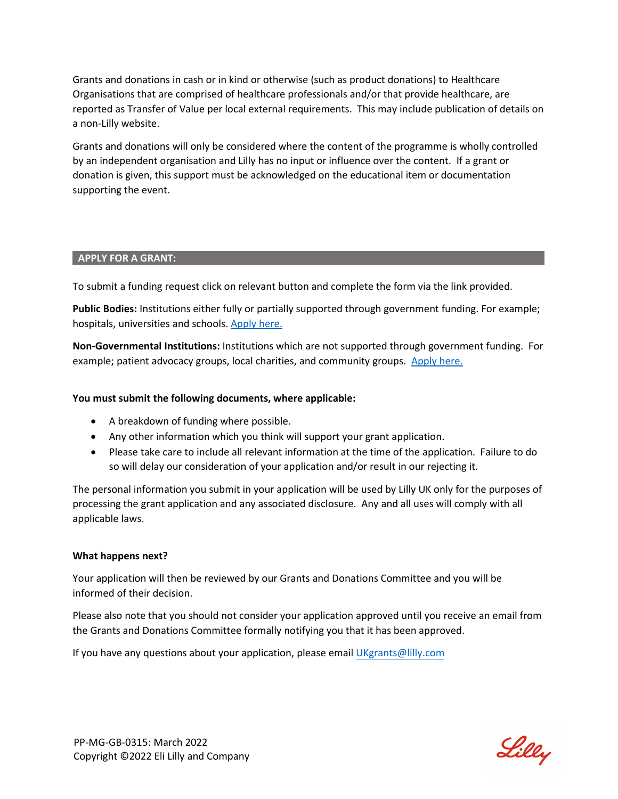Grants and donations in cash or in kind or otherwise (such as product donations) to Healthcare Organisations that are comprised of healthcare professionals and/or that provide healthcare, are reported as Transfer of Value per local external requirements. This may include publication of details on a non-Lilly website.

Grants and donations will only be considered where the content of the programme is wholly controlled by an independent organisation and Lilly has no input or influence over the content. If a grant or donation is given, this support must be acknowledged on the educational item or documentation supporting the event.

#### **APPLY FOR A GRANT:**

To submit a funding request click on relevant button and complete the form via the link provided.

**Public Bodies:** Institutions either fully or partially supported through government funding. For example; hospitals, universities and schools[. Apply here.](https://cms.securimate.com/cms/ddq/ddqlogin.sec?id=1wevZkaGwQiPojTQ) 

**Non-Governmental Institutions:** Institutions which are not supported through government funding. For example; patient advocacy groups, local charities, and community groups. Apply here.

### **You must submit the following documents, where applicable:**

- A breakdown of funding where possible.
- Any other information which you think will support your grant application.
- Please take care to include all relevant information at the time of the application. Failure to do so will delay our consideration of your application and/or result in our rejecting it.

The personal information you submit in your application will be used by Lilly UK only for the purposes of processing the grant application and any associated disclosure. Any and all uses will comply with all applicable laws.

#### **What happens next?**

Your application will then be reviewed by our Grants and Donations Committee and you will be informed of their decision.

Please also note that you should not consider your application approved until you receive an email from the Grants and Donations Committee formally notifying you that it has been approved.

If you have any questions about your application, please email [UKgrants@lilly.com](mailto:UKgrants@lilly.com)

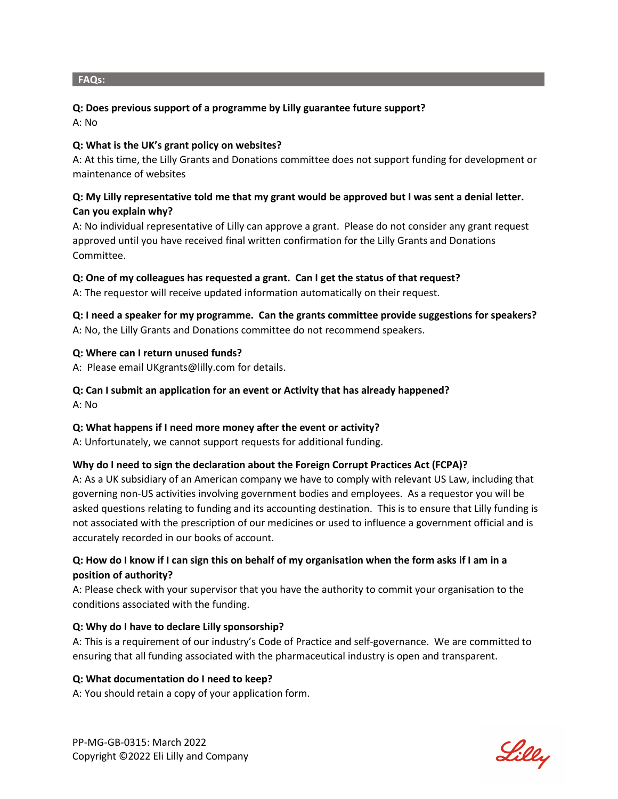#### **FAQs:**

### **Q: Does previous support of a programme by Lilly guarantee future support?**

A: No

### **Q: What is the UK's grant policy on websites?**

A: At this time, the Lilly Grants and Donations committee does not support funding for development or maintenance of websites

# **Q: My Lilly representative told me that my grant would be approved but I was sent a denial letter. Can you explain why?**

A: No individual representative of Lilly can approve a grant. Please do not consider any grant request approved until you have received final written confirmation for the Lilly Grants and Donations Committee.

# **Q: One of my colleagues has requested a grant. Can I get the status of that request?**

A: The requestor will receive updated information automatically on their request.

**Q: I need a speaker for my programme. Can the grants committee provide suggestions for speakers?** A: No, the Lilly Grants and Donations committee do not recommend speakers.

### **Q: Where can I return unused funds?**

A: Please email UKgrants@lilly.com for details.

# **Q: Can I submit an application for an event or Activity that has already happened?**

A: No

# **Q: What happens if I need more money after the event or activity?**

A: Unfortunately, we cannot support requests for additional funding.

# **Why do I need to sign the declaration about the Foreign Corrupt Practices Act (FCPA)?**

A: As a UK subsidiary of an American company we have to comply with relevant US Law, including that governing non-US activities involving government bodies and employees. As a requestor you will be asked questions relating to funding and its accounting destination. This is to ensure that Lilly funding is not associated with the prescription of our medicines or used to influence a government official and is accurately recorded in our books of account.

# **Q: How do I know if I can sign this on behalf of my organisation when the form asks if I am in a position of authority?**

A: Please check with your supervisor that you have the authority to commit your organisation to the conditions associated with the funding.

# **Q: Why do I have to declare Lilly sponsorship?**

A: This is a requirement of our industry's Code of Practice and self-governance. We are committed to ensuring that all funding associated with the pharmaceutical industry is open and transparent.

#### **Q: What documentation do I need to keep?**

A: You should retain a copy of your application form.